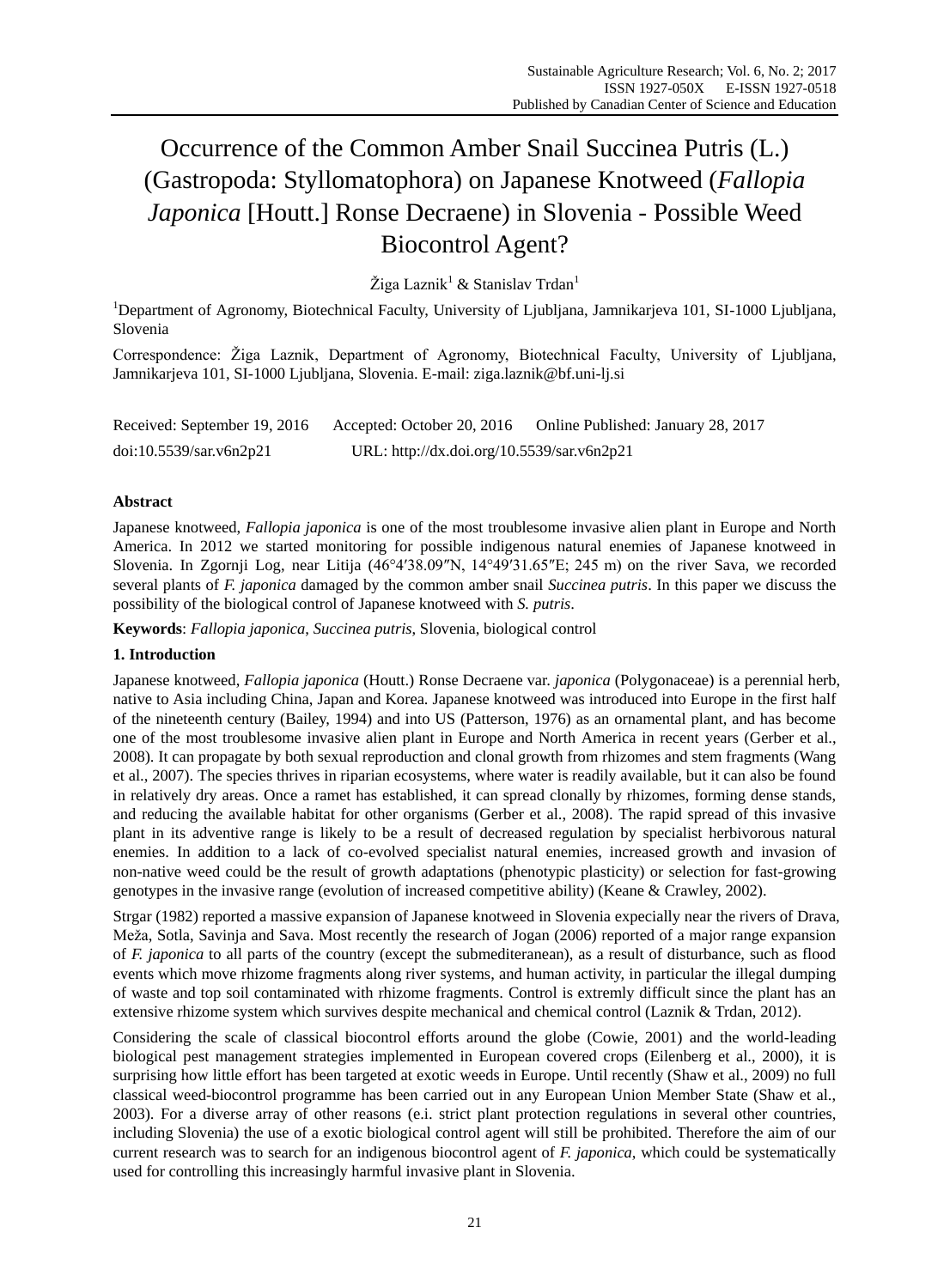# Occurrence of the Common Amber Snail Succinea Putris (L.) (Gastropoda: Styllomatophora) on Japanese Knotweed (*Fallopia Japonica* [Houtt.] Ronse Decraene) in Slovenia - Possible Weed Biocontrol Agent?

Žiga Laznik<sup>1</sup> & Stanislav Trdan<sup>1</sup>

<sup>1</sup>Department of Agronomy, Biotechnical Faculty, University of Ljubljana, Jamnikarjeva 101, SI-1000 Ljubljana, Slovenia

Correspondence: Žiga Laznik, Department of Agronomy, Biotechnical Faculty, University of Ljubljana, Jamnikarjeva 101, SI-1000 Ljubljana, Slovenia. E-mail: ziga.laznik@bf.uni-lj.si

Received: September 19, 2016 Accepted: October 20, 2016 Online Published: January 28, 2017 doi:10.5539/sar.v6n2p21 URL: http://dx.doi.org/10.5539/sar.v6n2p21

## **Abstract**

Japanese knotweed, *Fallopia japonica* is one of the most troublesome invasive alien plant in Europe and North America. In 2012 we started monitoring for possible indigenous natural enemies of Japanese knotweed in Slovenia. In Zgornji Log, near Litija (46°4′38.09″N, 14°49′31.65″E; 245 m) on the river Sava, we recorded several plants of *F. japonica* damaged by the common amber snail *Succinea putris*. In this paper we discuss the possibility of the biological control of Japanese knotweed with *S. putris*.

**Keywords**: *Fallopia japonica*, *Succinea putris*, Slovenia, biological control

### **1. Introduction**

Japanese knotweed, *Fallopia japonica* (Houtt.) Ronse Decraene var. *japonica* (Polygonaceae) is a perennial herb, native to Asia including China, Japan and Korea. Japanese knotweed was introduced into Europe in the first half of the nineteenth century (Bailey, 1994) and into US (Patterson, 1976) as an ornamental plant, and has become one of the most troublesome invasive alien plant in Europe and North America in recent years (Gerber et al., 2008). It can propagate by both sexual reproduction and clonal growth from rhizomes and stem fragments (Wang et al., 2007). The species thrives in riparian ecosystems, where water is readily available, but it can also be found in relatively dry areas. Once a ramet has established, it can spread clonally by rhizomes, forming dense stands, and reducing the available habitat for other organisms (Gerber et al., 2008). The rapid spread of this invasive plant in its adventive range is likely to be a result of decreased regulation by specialist herbivorous natural enemies. In addition to a lack of co-evolved specialist natural enemies, increased growth and invasion of non-native weed could be the result of growth adaptations (phenotypic plasticity) or selection for fast-growing genotypes in the invasive range (evolution of increased competitive ability) (Keane & Crawley, 2002).

Strgar (1982) reported a massive expansion of Japanese knotweed in Slovenia expecially near the rivers of Drava, Meža, Sotla, Savinja and Sava. Most recently the research of Jogan (2006) reported of a major range expansion of *F. japonica* to all parts of the country (except the submediteranean), as a result of disturbance, such as flood events which move rhizome fragments along river systems, and human activity, in particular the illegal dumping of waste and top soil contaminated with rhizome fragments. Control is extremly difficult since the plant has an extensive rhizome system which survives despite mechanical and chemical control (Laznik & Trdan, 2012).

Considering the scale of classical biocontrol efforts around the globe (Cowie, 2001) and the world-leading biological pest management strategies implemented in European covered crops (Eilenberg et al., 2000), it is surprising how little effort has been targeted at exotic weeds in Europe. Until recently (Shaw et al., 2009) no full classical weed-biocontrol programme has been carried out in any European Union Member State (Shaw et al., 2003). For a diverse array of other reasons (e.i. strict plant protection regulations in several other countries, including Slovenia) the use of a exotic biological control agent will still be prohibited. Therefore the aim of our current research was to search for an indigenous biocontrol agent of *F. japonica*, which could be systematically used for controlling this increasingly harmful invasive plant in Slovenia.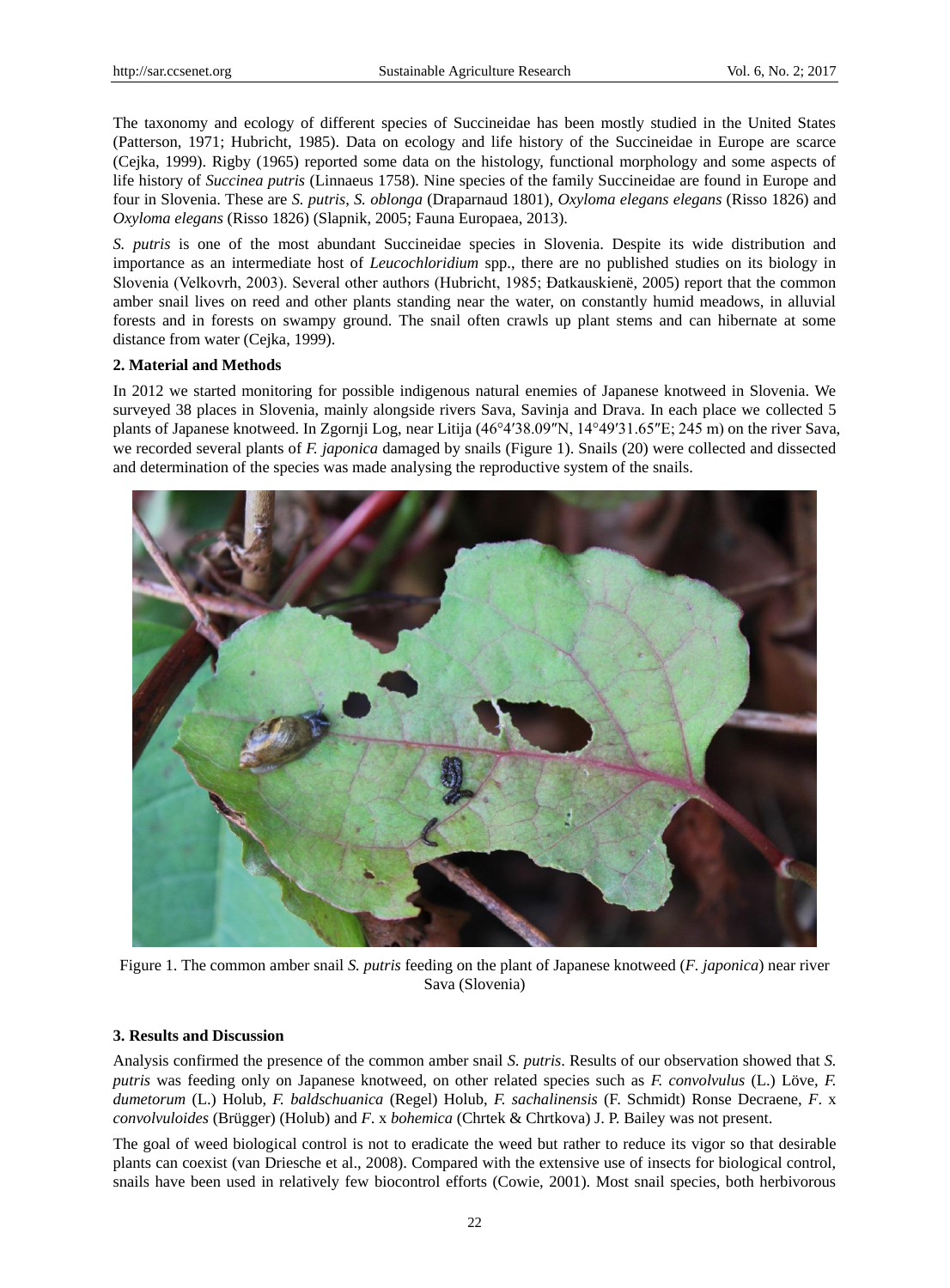The taxonomy and ecology of different species of Succineidae has been mostly studied in the United States (Patterson, 1971; Hubricht, 1985). Data on ecology and life history of the Succineidae in Europe are scarce (Cejka, 1999). Rigby (1965) reported some data on the histology, functional morphology and some aspects of life history of *Succinea putris* (Linnaeus 1758). Nine species of the family Succineidae are found in Europe and four in Slovenia. These are *S. putris*, *S. oblonga* (Draparnaud 1801), *Oxyloma elegans elegans* (Risso 1826) and *Oxyloma elegans* (Risso 1826) (Slapnik, 2005; Fauna Europaea, 2013).

*S. putris* is one of the most abundant Succineidae species in Slovenia. Despite its wide distribution and importance as an intermediate host of *Leucochloridium* spp., there are no published studies on its biology in Slovenia (Velkovrh, 2003). Several other authors (Hubricht, 1985; Đatkauskienë, 2005) report that the common amber snail lives on reed and other plants standing near the water, on constantly humid meadows, in alluvial forests and in forests on swampy ground. The snail often crawls up plant stems and can hibernate at some distance from water (Cejka, 1999).

#### **2. Material and Methods**

In 2012 we started monitoring for possible indigenous natural enemies of Japanese knotweed in Slovenia. We surveyed 38 places in Slovenia, mainly alongside rivers Sava, Savinja and Drava. In each place we collected 5 plants of Japanese knotweed. In Zgornji Log, near Litija (46°4′38.09″N, 14°49′31.65″E; 245 m) on the river Sava, we recorded several plants of *F. japonica* damaged by snails (Figure 1). Snails (20) were collected and dissected and determination of the species was made analysing the reproductive system of the snails.



Figure 1. The common amber snail *S. putris* feeding on the plant of Japanese knotweed (*F. japonica*) near river Sava (Slovenia)

#### **3. Results and Discussion**

Analysis confirmed the presence of the common amber snail *S. putris*. Results of our observation showed that *S. putris* was feeding only on Japanese knotweed, on other related species such as *F. convolvulus* (L.) Löve, *F. dumetorum* (L.) Holub, *F. baldschuanica* (Regel) Holub, *F. sachalinensis* (F. Schmidt) Ronse Decraene, *F*. x *convolvuloides* (Brügger) (Holub) and *F*. x *bohemica* (Chrtek & Chrtkova) J. P. Bailey was not present.

The goal of weed biological control is not to eradicate the weed but rather to reduce its vigor so that desirable plants can coexist (van Driesche et al., 2008). Compared with the extensive use of insects for biological control, snails have been used in relatively few biocontrol efforts (Cowie, 2001). Most snail species, both herbivorous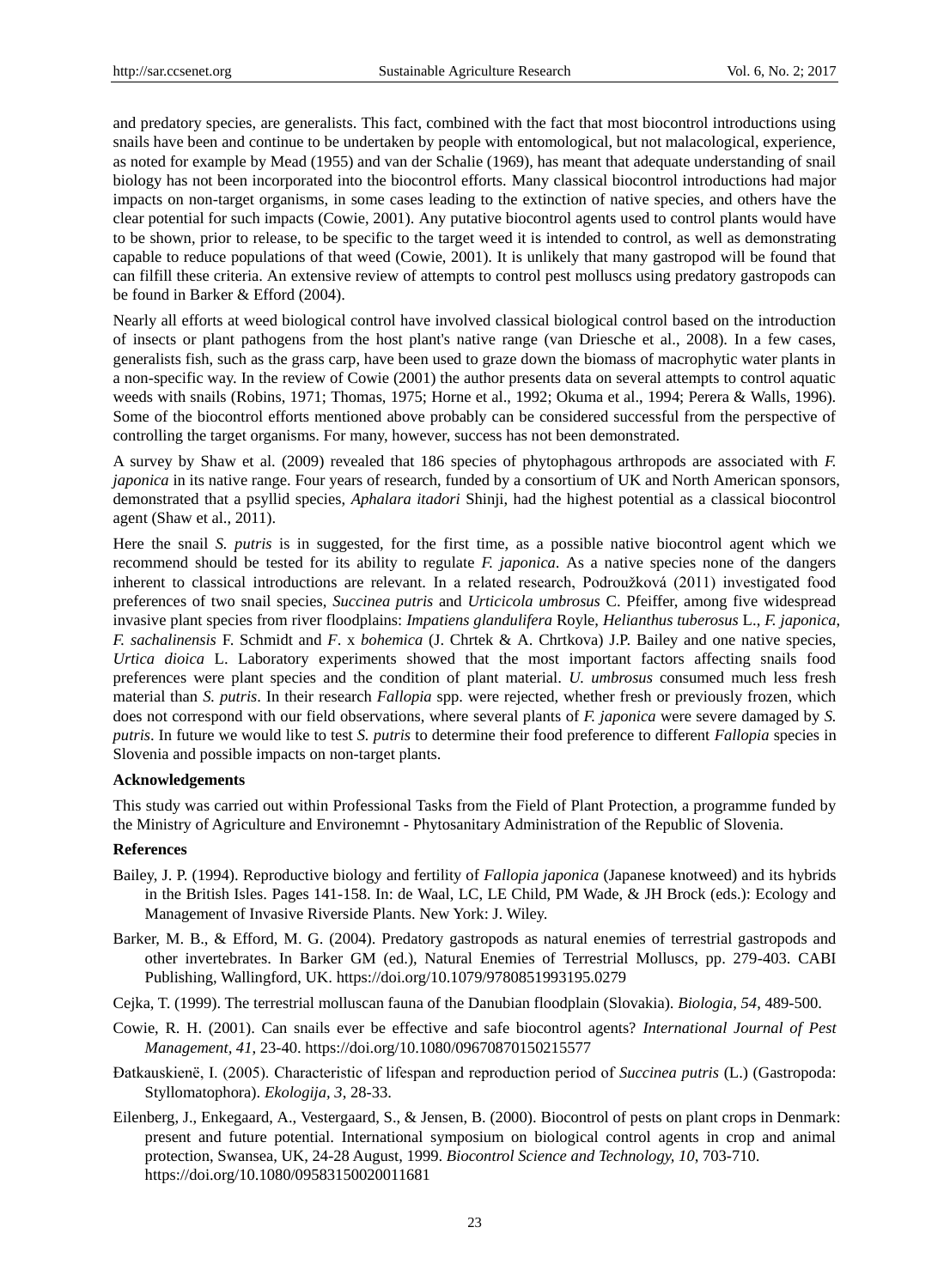and predatory species, are generalists. This fact, combined with the fact that most biocontrol introductions using snails have been and continue to be undertaken by people with entomological, but not malacological, experience, as noted for example by Mead (1955) and van der Schalie (1969), has meant that adequate understanding of snail biology has not been incorporated into the biocontrol efforts. Many classical biocontrol introductions had major impacts on non-target organisms, in some cases leading to the extinction of native species, and others have the clear potential for such impacts (Cowie, 2001). Any putative biocontrol agents used to control plants would have to be shown, prior to release, to be specific to the target weed it is intended to control, as well as demonstrating capable to reduce populations of that weed (Cowie, 2001). It is unlikely that many gastropod will be found that can filfill these criteria. An extensive review of attempts to control pest molluscs using predatory gastropods can be found in Barker & Efford (2004).

Nearly all efforts at weed biological control have involved classical biological control based on the introduction of insects or plant pathogens from the host plant's native range (van Driesche et al., 2008). In a few cases, generalists fish, such as the grass carp, have been used to graze down the biomass of macrophytic water plants in a non-specific way. In the review of Cowie (2001) the author presents data on several attempts to control aquatic weeds with snails (Robins, 1971; Thomas, 1975; Horne et al., 1992; Okuma et al., 1994; Perera & Walls, 1996). Some of the biocontrol efforts mentioned above probably can be considered successful from the perspective of controlling the target organisms. For many, however, success has not been demonstrated.

A survey by Shaw et al. (2009) revealed that 186 species of phytophagous arthropods are associated with *F. japonica* in its native range. Four years of research, funded by a consortium of UK and North American sponsors, demonstrated that a psyllid species, *Aphalara itadori* Shinji, had the highest potential as a classical biocontrol agent (Shaw et al., 2011).

Here the snail *S. putris* is in suggested, for the first time, as a possible native biocontrol agent which we recommend should be tested for its ability to regulate *F. japonica*. As a native species none of the dangers inherent to classical introductions are relevant. In a related research, Podroužková (2011) investigated food preferences of two snail species, *Succinea putris* and *Urticicola umbrosus* C. Pfeiffer, among five widespread invasive plant species from river floodplains: *Impatiens glandulifera* Royle, *Helianthus tuberosus* L., *F. japonica*, *F. sachalinensis* F. Schmidt and *F*. x *bohemica* (J. Chrtek & A. Chrtkova) J.P. Bailey and one native species, *Urtica dioica* L. Laboratory experiments showed that the most important factors affecting snails food preferences were plant species and the condition of plant material. *U. umbrosus* consumed much less fresh material than *S. putris*. In their research *Fallopia* spp. were rejected, whether fresh or previously frozen, which does not correspond with our field observations, where several plants of *F. japonica* were severe damaged by *S. putris*. In future we would like to test *S. putris* to determine their food preference to different *Fallopia* species in Slovenia and possible impacts on non-target plants.

#### **Acknowledgements**

This study was carried out within Professional Tasks from the Field of Plant Protection, a programme funded by the Ministry of Agriculture and Environemnt - Phytosanitary Administration of the Republic of Slovenia.

#### **References**

- Bailey, J. P. (1994). Reproductive biology and fertility of *Fallopia japonica* (Japanese knotweed) and its hybrids in the British Isles. Pages 141-158. In: de Waal, LC, LE Child, PM Wade, & JH Brock (eds.): Ecology and Management of Invasive Riverside Plants. New York: J. Wiley.
- Barker, M. B., & Efford, M. G. (2004). Predatory gastropods as natural enemies of terrestrial gastropods and other invertebrates. In Barker GM (ed.), Natural Enemies of Terrestrial Molluscs, pp. 279-403. CABI Publishing, Wallingford, UK. https://doi.org/10.1079/9780851993195.0279
- Cejka, T. (1999). The terrestrial molluscan fauna of the Danubian floodplain (Slovakia). *Biologia, 54*, 489-500.
- Cowie, R. H. (2001). Can snails ever be effective and safe biocontrol agents? *International Journal of Pest Management, 41*, 23-40. https://doi.org/10.1080/09670870150215577
- Đatkauskienë, I. (2005). Characteristic of lifespan and reproduction period of *Succinea putris* (L.) (Gastropoda: Styllomatophora). *Ekologija, 3*, 28-33.
- Eilenberg, J., Enkegaard, A., Vestergaard, S., & Jensen, B. (2000). Biocontrol of pests on plant crops in Denmark: present and future potential. International symposium on biological control agents in crop and animal protection, Swansea, UK, 24-28 August, 1999. *Biocontrol Science and Technology, 10*, 703-710. https://doi.org/10.1080/09583150020011681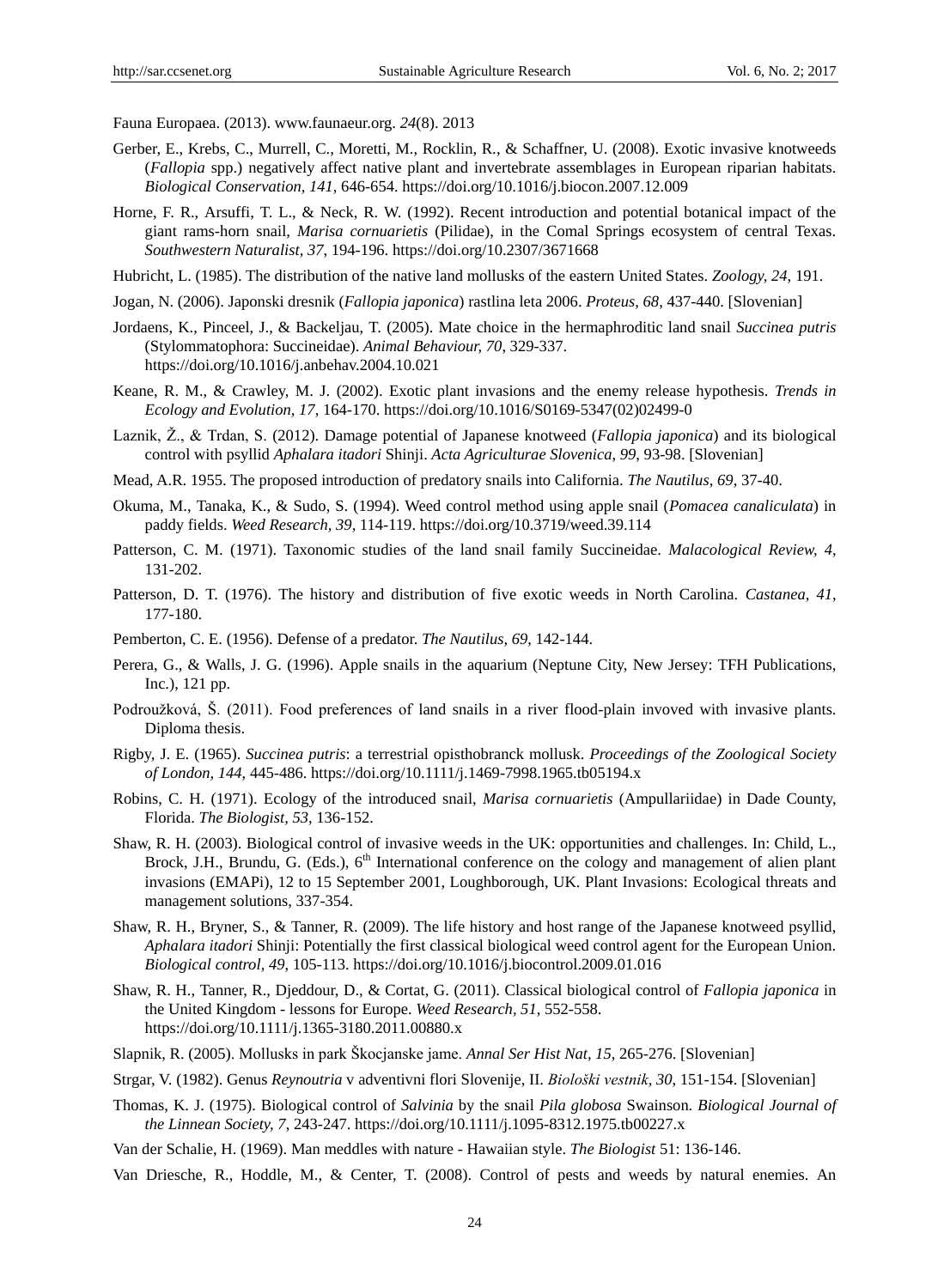Fauna Europaea. (2013). www.faunaeur.org. *24*(8). 2013

- Gerber, E., Krebs, C., Murrell, C., Moretti, M., Rocklin, R., & Schaffner, U. (2008). Exotic invasive knotweeds (*Fallopia* spp.) negatively affect native plant and invertebrate assemblages in European riparian habitats. *Biological Conservation, 141*, 646-654. https://doi.org/10.1016/j.biocon.2007.12.009
- Horne, F. R., Arsuffi, T. L., & Neck, R. W. (1992). Recent introduction and potential botanical impact of the giant rams-horn snail, *Marisa cornuarietis* (Pilidae), in the Comal Springs ecosystem of central Texas. *Southwestern Naturalist, 37*, 194-196. https://doi.org/10.2307/3671668
- Hubricht, L. (1985). The distribution of the native land mollusks of the eastern United States. *Zoology, 24*, 191.
- Jogan, N. (2006). Japonski dresnik (*Fallopia japonica*) rastlina leta 2006. *Proteus, 68*, 437-440. [Slovenian]
- Jordaens, K., Pinceel, J., & Backeljau, T. (2005). Mate choice in the hermaphroditic land snail *Succinea putris* (Stylommatophora: Succineidae). *Animal Behaviour, 70*, 329-337. https://doi.org/10.1016/j.anbehav.2004.10.021
- Keane, R. M., & Crawley, M. J. (2002). Exotic plant invasions and the enemy release hypothesis. *Trends in Ecology and Evolution, 17*, 164-170. https://doi.org/10.1016/S0169-5347(02)02499-0
- Laznik, Ž., & Trdan, S. (2012). Damage potential of Japanese knotweed (*Fallopia japonica*) and its biological control with psyllid *Aphalara itadori* Shinji. *Acta Agriculturae Slovenica, 99*, 93-98. [Slovenian]
- Mead, A.R. 1955. The proposed introduction of predatory snails into California. *The Nautilus, 69*, 37-40.
- Okuma, M., Tanaka, K., & Sudo, S. (1994). Weed control method using apple snail (*Pomacea canaliculata*) in paddy fields. *Weed Research, 39*, 114-119. https://doi.org/10.3719/weed.39.114
- Patterson, C. M. (1971). Taxonomic studies of the land snail family Succineidae. *Malacological Review, 4*, 131-202.
- Patterson, D. T. (1976). The history and distribution of five exotic weeds in North Carolina. *Castanea, 41*, 177-180.
- Pemberton, C. E. (1956). Defense of a predator. *The Nautilus, 69*, 142-144.
- Perera, G., & Walls, J. G. (1996). Apple snails in the aquarium (Neptune City, New Jersey: TFH Publications, Inc.), 121 pp.
- Podroužková, Š. (2011). Food preferences of land snails in a river flood-plain invoved with invasive plants. Diploma thesis.
- Rigby, J. E. (1965). *Succinea putris*: a terrestrial opisthobranck mollusk. *Proceedings of the Zoological Society of London, 144*, 445-486. https://doi.org/10.1111/j.1469-7998.1965.tb05194.x
- Robins, C. H. (1971). Ecology of the introduced snail, *Marisa cornuarietis* (Ampullariidae) in Dade County, Florida. *The Biologist, 53*, 136-152.
- Shaw, R. H. (2003). Biological control of invasive weeds in the UK: opportunities and challenges. In: Child, L., Brock, J.H., Brundu, G. (Eds.),  $6<sup>th</sup>$  International conference on the cology and management of alien plant invasions (EMAPi), 12 to 15 September 2001, Loughborough, UK. Plant Invasions: Ecological threats and management solutions, 337-354.
- Shaw, R. H., Bryner, S., & Tanner, R. (2009). The life history and host range of the Japanese knotweed psyllid, *Aphalara itadori* Shinji: Potentially the first classical biological weed control agent for the European Union. *Biological control, 49*, 105-113. https://doi.org/10.1016/j.biocontrol.2009.01.016
- Shaw, R. H., Tanner, R., Djeddour, D., & Cortat, G. (2011). Classical biological control of *Fallopia japonica* in the United Kingdom - lessons for Europe. *Weed Research, 51*, 552-558. https://doi.org/10.1111/j.1365-3180.2011.00880.x
- Slapnik, R. (2005). Mollusks in park Škocjanske jame. *Annal Ser Hist Nat, 15*, 265-276. [Slovenian]
- Strgar, V. (1982). Genus *Reynoutria* v adventivni flori Slovenije, II. *Biološki vestnik, 30*, 151-154. [Slovenian]
- Thomas, K. J. (1975). Biological control of *Salvinia* by the snail *Pila globosa* Swainson. *Biological Journal of the Linnean Society, 7*, 243-247. https://doi.org/10.1111/j.1095-8312.1975.tb00227.x
- Van der Schalie, H. (1969). Man meddles with nature Hawaiian style. *The Biologist* 51: 136-146.

Van Driesche, R., Hoddle, M., & Center, T. (2008). Control of pests and weeds by natural enemies. An